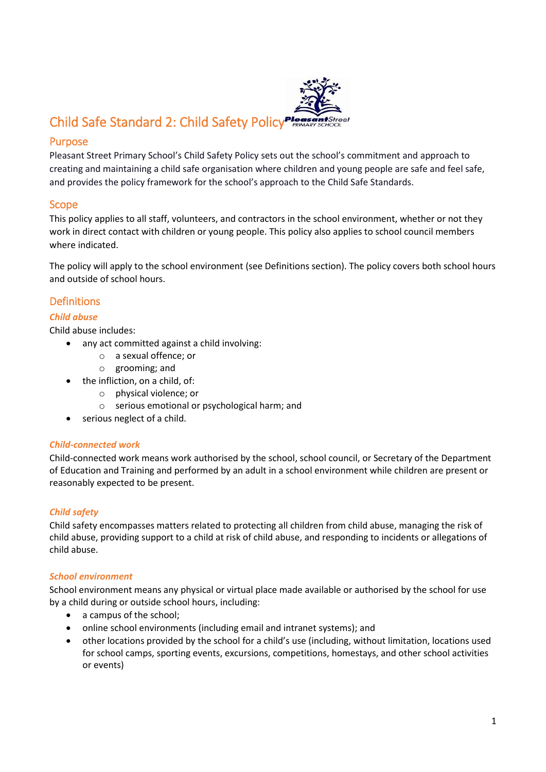

## Purpose

Pleasant Street Primary School's Child Safety Policy sets out the school's commitment and approach to creating and maintaining a child safe organisation where children and young people are safe and feel safe, and provides the policy framework for the school's approach to the Child Safe Standards.

## Scope

This policy applies to all staff, volunteers, and contractors in the school environment, whether or not they work in direct contact with children or young people. This policy also applies to school council members where indicated.

The policy will apply to the school environment (see Definitions section). The policy covers both school hours and outside of school hours.

## **Definitions**

### *Child abuse*

Child abuse includes:

- any act committed against a child involving:
	- o a sexual offence; or
	- o grooming; and
- the infliction, on a child, of:
	- o physical violence; or
	- o serious emotional or psychological harm; and
- serious neglect of a child.

### *Child-connected work*

Child-connected work means work authorised by the school, school council, or Secretary of the Department of Education and Training and performed by an adult in a school environment while children are present or reasonably expected to be present.

## *Child safety*

Child safety encompasses matters related to protecting all children from child abuse, managing the risk of child abuse, providing support to a child at risk of child abuse, and responding to incidents or allegations of child abuse.

### *School environment*

School environment means any physical or virtual place made available or authorised by the school for use by a child during or outside school hours, including:

- a campus of the school;
- online school environments (including email and intranet systems); and
- other locations provided by the school for a child's use (including, without limitation, locations used for school camps, sporting events, excursions, competitions, homestays, and other school activities or events)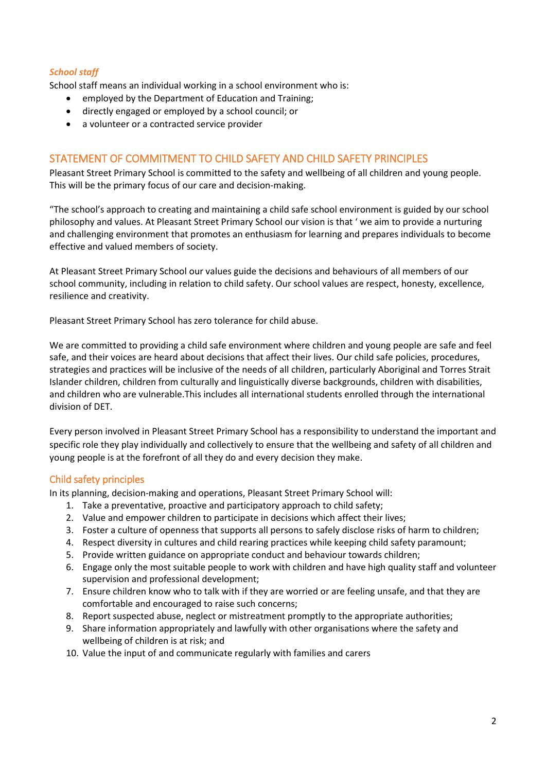### *School staff*

School staff means an individual working in a school environment who is:

- employed by the Department of Education and Training;
- directly engaged or employed by a school council; or
- a volunteer or a contracted service provider

### STATEMENT OF COMMITMENT TO CHILD SAFETY AND CHILD SAFETY PRINCIPLES

Pleasant Street Primary School is committed to the safety and wellbeing of all children and young people. This will be the primary focus of our care and decision-making.

"The school's approach to creating and maintaining a child safe school environment is guided by our school philosophy and values. At Pleasant Street Primary School our vision is that ' we aim to provide a nurturing and challenging environment that promotes an enthusiasm for learning and prepares individuals to become effective and valued members of society.

At Pleasant Street Primary School our values guide the decisions and behaviours of all members of our school community, including in relation to child safety. Our school values are respect, honesty, excellence, resilience and creativity.

Pleasant Street Primary School has zero tolerance for child abuse.

We are committed to providing a child safe environment where children and young people are safe and feel safe, and their voices are heard about decisions that affect their lives. Our child safe policies, procedures, strategies and practices will be inclusive of the needs of all children, particularly Aboriginal and Torres Strait Islander children, children from culturally and linguistically diverse backgrounds, children with disabilities, and children who are vulnerable.This includes all international students enrolled through the international division of DET.

Every person involved in Pleasant Street Primary School has a responsibility to understand the important and specific role they play individually and collectively to ensure that the wellbeing and safety of all children and young people is at the forefront of all they do and every decision they make.

### Child safety principles

In its planning, decision-making and operations, Pleasant Street Primary School will:

- 1. Take a preventative, proactive and participatory approach to child safety;
- 2. Value and empower children to participate in decisions which affect their lives;
- 3. Foster a culture of openness that supports all persons to safely disclose risks of harm to children;
- 4. Respect diversity in cultures and child rearing practices while keeping child safety paramount;
- 5. Provide written guidance on appropriate conduct and behaviour towards children;
- 6. Engage only the most suitable people to work with children and have high quality staff and volunteer supervision and professional development;
- 7. Ensure children know who to talk with if they are worried or are feeling unsafe, and that they are comfortable and encouraged to raise such concerns;
- 8. Report suspected abuse, neglect or mistreatment promptly to the appropriate authorities;
- 9. Share information appropriately and lawfully with other organisations where the safety and wellbeing of children is at risk; and
- 10. Value the input of and communicate regularly with families and carers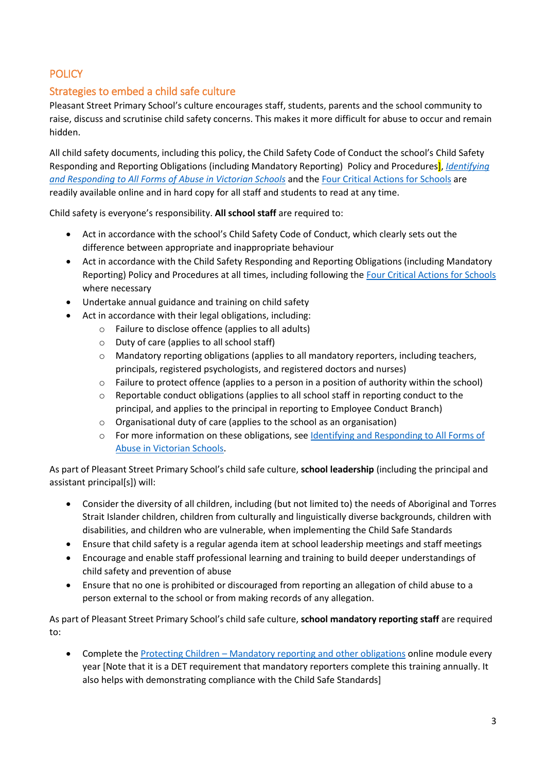# **POLICY**

# Strategies to embed a child safe culture

Pleasant Street Primary School's culture encourages staff, students, parents and the school community to raise, discuss and scrutinise child safety concerns. This makes it more difficult for abuse to occur and remain hidden.

All child safety documents, including this policy, the Child Safety Code of Conduct the school's Child Safety Responding and Reporting Obligations (including Mandatory Reporting) Policy and Procedures], *[Identifying](https://www.education.vic.gov.au/Documents/about/programs/health/protect/ChildSafeStandard5_SchoolsGuide.pdf)  [and Responding to All Forms of Abuse in Victorian Schools](https://www.education.vic.gov.au/Documents/about/programs/health/protect/ChildSafeStandard5_SchoolsGuide.pdf)* and th[e Four Critical Actions for Schools](https://www.education.vic.gov.au/Documents/about/programs/health/protect/FourCriticalActions_ChildAbuse.pdf) are readily available online and in hard copy for all staff and students to read at any time.

Child safety is everyone's responsibility. **All school staff** are required to:

- Act in accordance with the school's Child Safety Code of Conduct, which clearly sets out the difference between appropriate and inappropriate behaviour
- Act in accordance with the Child Safety Responding and Reporting Obligations (including Mandatory Reporting) Policy and Procedures at all times, including following th[e Four Critical Actions for Schools](https://www.education.vic.gov.au/Documents/about/programs/health/protect/FourCriticalActions_ChildAbuse.pdf) where necessary
- Undertake annual guidance and training on child safety
- Act in accordance with their legal obligations, including:
	- o Failure to disclose offence (applies to all adults)
	- o Duty of care (applies to all school staff)
	- o Mandatory reporting obligations (applies to all mandatory reporters, including teachers, principals, registered psychologists, and registered doctors and nurses)
	- o Failure to protect offence (applies to a person in a position of authority within the school)
	- o Reportable conduct obligations (applies to all school staff in reporting conduct to the principal, and applies to the principal in reporting to Employee Conduct Branch)
	- o Organisational duty of care (applies to the school as an organisation)
	- o For more information on these obligations, see [Identifying and Responding to All Forms of](https://www.education.vic.gov.au/Documents/about/programs/health/protect/ChildSafeStandard5_SchoolsGuide.pdf)  [Abuse in Victorian Schools.](https://www.education.vic.gov.au/Documents/about/programs/health/protect/ChildSafeStandard5_SchoolsGuide.pdf)

As part of Pleasant Street Primary School's child safe culture, **school leadership** (including the principal and assistant principal[s]) will:

- Consider the diversity of all children, including (but not limited to) the needs of Aboriginal and Torres Strait Islander children, children from culturally and linguistically diverse backgrounds, children with disabilities, and children who are vulnerable, when implementing the Child Safe Standards
- Ensure that child safety is a regular agenda item at school leadership meetings and staff meetings
- Encourage and enable staff professional learning and training to build deeper understandings of child safety and prevention of abuse
- Ensure that no one is prohibited or discouraged from reporting an allegation of child abuse to a person external to the school or from making records of any allegation.

As part of Pleasant Street Primary School's child safe culture, **school mandatory reporting staff** are required to:

 Complete the Protecting Children – [Mandatory reporting and other obligations](http://elearn.com.au/det/protectingchildren/) online module every year [Note that it is a DET requirement that mandatory reporters complete this training annually. It also helps with demonstrating compliance with the Child Safe Standards]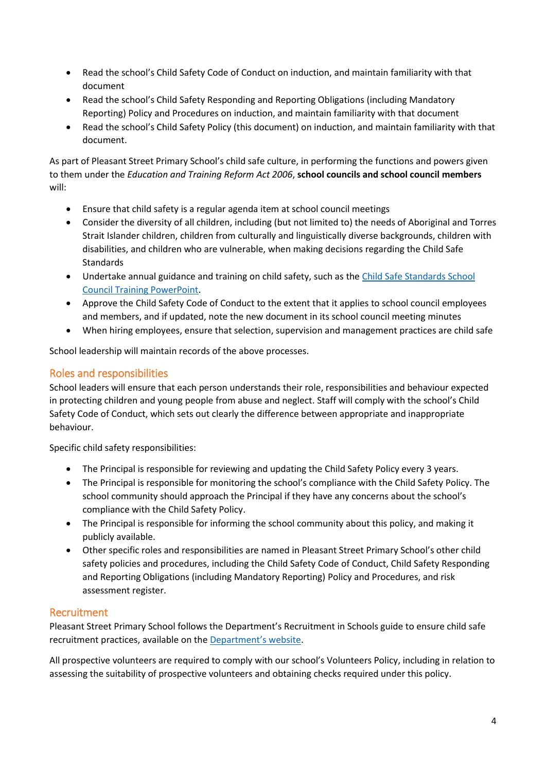- Read the school's Child Safety Code of Conduct on induction, and maintain familiarity with that document
- Read the school's Child Safety Responding and Reporting Obligations (including Mandatory Reporting) Policy and Procedures on induction, and maintain familiarity with that document
- Read the school's Child Safety Policy (this document) on induction, and maintain familiarity with that document.

As part of Pleasant Street Primary School's child safe culture, in performing the functions and powers given to them under the *Education and Training Reform Act 2006*, **school councils and school council members** will:

- Ensure that child safety is a regular agenda item at school council meetings
- Consider the diversity of all children, including (but not limited to) the needs of Aboriginal and Torres Strait Islander children, children from culturally and linguistically diverse backgrounds, children with disabilities, and children who are vulnerable, when making decisions regarding the Child Safe Standards
- Undertake annual guidance and training on child safety, such as the Child Safe Standards School [Council Training](https://www.education.vic.gov.au/Documents/about/programs/health/protect/school-council-training.pptx) PowerPoint.
- Approve the Child Safety Code of Conduct to the extent that it applies to school council employees and members, and if updated, note the new document in its school council meeting minutes
- When hiring employees, ensure that selection, supervision and management practices are child safe

School leadership will maintain records of the above processes.

# Roles and responsibilities

School leaders will ensure that each person understands their role, responsibilities and behaviour expected in protecting children and young people from abuse and neglect. Staff will comply with the school's Child Safety Code of Conduct, which sets out clearly the difference between appropriate and inappropriate behaviour.

Specific child safety responsibilities:

- The Principal is responsible for reviewing and updating the Child Safety Policy every 3 years.
- The Principal is responsible for monitoring the school's compliance with the Child Safety Policy. The school community should approach the Principal if they have any concerns about the school's compliance with the Child Safety Policy.
- The Principal is responsible for informing the school community about this policy, and making it publicly available.
- Other specific roles and responsibilities are named in Pleasant Street Primary School's other child safety policies and procedures, including the Child Safety Code of Conduct, Child Safety Responding and Reporting Obligations (including Mandatory Reporting) Policy and Procedures, and risk assessment register.

## Recruitment

Pleasant Street Primary School follows the Department's Recruitment in Schools guide to ensure child safe recruitment practices, available on the [Department'](https://www.education.vic.gov.au/hrweb/careers/Pages/recruitinsch.aspx)s website.

All prospective volunteers are required to comply with our school's Volunteers Policy, including in relation to assessing the suitability of prospective volunteers and obtaining checks required under this policy.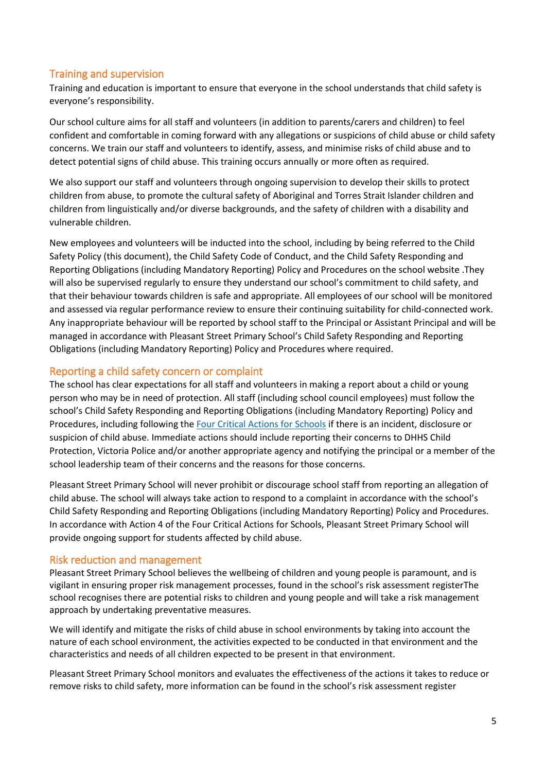## Training and supervision

Training and education is important to ensure that everyone in the school understands that child safety is everyone's responsibility.

Our school culture aims for all staff and volunteers (in addition to parents/carers and children) to feel confident and comfortable in coming forward with any allegations or suspicions of child abuse or child safety concerns. We train our staff and volunteers to identify, assess, and minimise risks of child abuse and to detect potential signs of child abuse. This training occurs annually or more often as required.

We also support our staff and volunteers through ongoing supervision to develop their skills to protect children from abuse, to promote the cultural safety of Aboriginal and Torres Strait Islander children and children from linguistically and/or diverse backgrounds, and the safety of children with a disability and vulnerable children.

New employees and volunteers will be inducted into the school, including by being referred to the Child Safety Policy (this document), the Child Safety Code of Conduct, and the Child Safety Responding and Reporting Obligations (including Mandatory Reporting) Policy and Procedures on the school website .They will also be supervised regularly to ensure they understand our school's commitment to child safety, and that their behaviour towards children is safe and appropriate. All employees of our school will be monitored and assessed via regular performance review to ensure their continuing suitability for child-connected work. Any inappropriate behaviour will be reported by school staff to the Principal or Assistant Principal and will be managed in accordance with Pleasant Street Primary School's Child Safety Responding and Reporting Obligations (including Mandatory Reporting) Policy and Procedures where required.

### Reporting a child safety concern or complaint

The school has clear expectations for all staff and volunteers in making a report about a child or young person who may be in need of protection. All staff (including school council employees) must follow the school's Child Safety Responding and Reporting Obligations (including Mandatory Reporting) Policy and Procedures, including following the [Four Critical Actions for Schools](https://www.education.vic.gov.au/Documents/about/programs/health/protect/FourCriticalActions_ChildAbuse.pdf) if there is an incident, disclosure or suspicion of child abuse. Immediate actions should include reporting their concerns to DHHS Child Protection, Victoria Police and/or another appropriate agency and notifying the principal or a member of the school leadership team of their concerns and the reasons for those concerns.

Pleasant Street Primary School will never prohibit or discourage school staff from reporting an allegation of child abuse. The school will always take action to respond to a complaint in accordance with the school's Child Safety Responding and Reporting Obligations (including Mandatory Reporting) Policy and Procedures. In accordance with Action 4 of the Four Critical Actions for Schools, Pleasant Street Primary School will provide ongoing support for students affected by child abuse.

## Risk reduction and management

Pleasant Street Primary School believes the wellbeing of children and young people is paramount, and is vigilant in ensuring proper risk management processes, found in the school's risk assessment registerThe school recognises there are potential risks to children and young people and will take a risk management approach by undertaking preventative measures.

We will identify and mitigate the risks of child abuse in school environments by taking into account the nature of each school environment, the activities expected to be conducted in that environment and the characteristics and needs of all children expected to be present in that environment.

Pleasant Street Primary School monitors and evaluates the effectiveness of the actions it takes to reduce or remove risks to child safety, more information can be found in the school's risk assessment register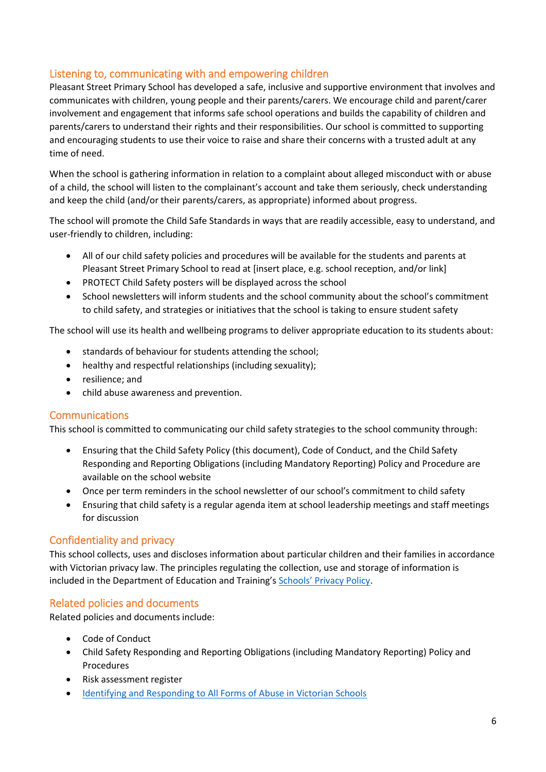## Listening to, communicating with and empowering children

Pleasant Street Primary School has developed a safe, inclusive and supportive environment that involves and communicates with children, young people and their parents/carers. We encourage child and parent/carer involvement and engagement that informs safe school operations and builds the capability of children and parents/carers to understand their rights and their responsibilities. Our school is committed to supporting and encouraging students to use their voice to raise and share their concerns with a trusted adult at any time of need.

When the school is gathering information in relation to a complaint about alleged misconduct with or abuse of a child, the school will listen to the complainant's account and take them seriously, check understanding and keep the child (and/or their parents/carers, as appropriate) informed about progress.

The school will promote the Child Safe Standards in ways that are readily accessible, easy to understand, and user-friendly to children, including:

- All of our child safety policies and procedures will be available for the students and parents at Pleasant Street Primary School to read at [insert place, e.g. school reception, and/or link]
- PROTECT Child Safety posters will be displayed across the school
- School newsletters will inform students and the school community about the school's commitment to child safety, and strategies or initiatives that the school is taking to ensure student safety

The school will use its health and wellbeing programs to deliver appropriate education to its students about:

- standards of behaviour for students attending the school;
- healthy and respectful relationships (including sexuality);
- resilience; and
- child abuse awareness and prevention.

### **Communications**

This school is committed to communicating our child safety strategies to the school community through:

- Ensuring that the Child Safety Policy (this document), Code of Conduct, and the Child Safety Responding and Reporting Obligations (including Mandatory Reporting) Policy and Procedure are available on the school website
- Once per term reminders in the school newsletter of our school's commitment to child safety
- Ensuring that child safety is a regular agenda item at school leadership meetings and staff meetings for discussion

### Confidentiality and privacy

This school collects, uses and discloses information about particular children and their families in accordance with Victorian privacy law. The principles regulating the collection, use and storage of information is included in the Department of Education and Training's Schools' [Privacy Policy.](https://www.education.vic.gov.au/Pages/schoolsprivacypolicy.aspx)

## Related policies and documents

Related policies and documents include:

- Code of Conduct
- Child Safety Responding and Reporting Obligations (including Mandatory Reporting) Policy and Procedures
- Risk assessment register
- [Identifying and Responding to All Forms of Abuse in Victorian Schools](https://www.education.vic.gov.au/Documents/about/programs/health/protect/ChildSafeStandard5_SchoolsGuide.pdf)